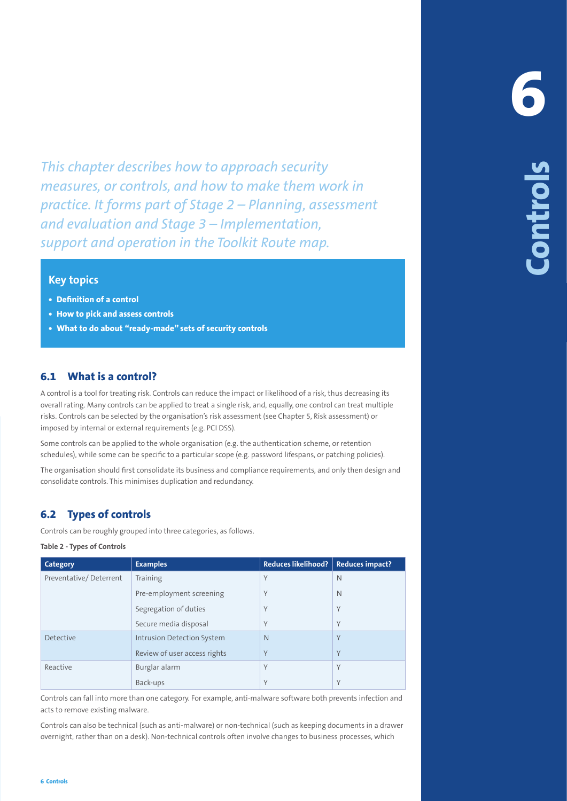## **Key topics**

- **• Definition of a control**
- **• How to pick and assess controls**
- **• What to do about "ready-made" sets of security controls**

### **6.1 What is a control?**

# **6.2 Types of controls**

#### **Table 2 - Types of Controls**

|                                                                                     | This chapter describes how to approach security<br>measures, or controls, and how to make them work in<br>practice. It forms part of Stage 2 – Planning, assessment<br>and evaluation and Stage $3$ – Implementation,<br>support and operation in the Toolkit Route map.                                                                                                                                                                                                                                                                                                                                                                                                                                                                                                                                                                                                                                |                                                |                                            | Contro |
|-------------------------------------------------------------------------------------|---------------------------------------------------------------------------------------------------------------------------------------------------------------------------------------------------------------------------------------------------------------------------------------------------------------------------------------------------------------------------------------------------------------------------------------------------------------------------------------------------------------------------------------------------------------------------------------------------------------------------------------------------------------------------------------------------------------------------------------------------------------------------------------------------------------------------------------------------------------------------------------------------------|------------------------------------------------|--------------------------------------------|--------|
| <b>Key topics</b><br>• Definition of a control<br>• How to pick and assess controls | • What to do about "ready-made" sets of security controls                                                                                                                                                                                                                                                                                                                                                                                                                                                                                                                                                                                                                                                                                                                                                                                                                                               |                                                |                                            |        |
| What is a control?<br>6.1<br><b>Types of controls</b><br>6.2                        | A control is a tool for treating risk. Controls can reduce the impact or likelihood of a risk, thus decreasing its<br>overall rating. Many controls can be applied to treat a single risk, and, equally, one control can treat multiple<br>risks. Controls can be selected by the organisation's risk assessment (see Chapter 5, Risk assessment) or<br>imposed by internal or external requirements (e.g. PCI DSS).<br>Some controls can be applied to the whole organisation (e.g. the authentication scheme, or retention<br>schedules), while some can be specific to a particular scope (e.g. password lifespans, or patching policies).<br>The organisation should first consolidate its business and compliance requirements, and only then design and<br>consolidate controls. This minimises duplication and redundancy.<br>Controls can be roughly grouped into three categories, as follows. |                                                |                                            |        |
| Table 2 - Types of Controls                                                         |                                                                                                                                                                                                                                                                                                                                                                                                                                                                                                                                                                                                                                                                                                                                                                                                                                                                                                         |                                                |                                            |        |
| <b>Category</b><br>Preventative/Deterrent                                           | <b>Examples</b><br>Training<br>Pre-employment screening<br>Segregation of duties<br>Secure media disposal                                                                                                                                                                                                                                                                                                                                                                                                                                                                                                                                                                                                                                                                                                                                                                                               | <b>Reduces likelihood?</b><br>Y<br>Y<br>Υ<br>Y | <b>Reduces impact?</b><br>N<br>N<br>Y<br>Υ |        |
| Detective                                                                           | Intrusion Detection System<br>Review of user access rights                                                                                                                                                                                                                                                                                                                                                                                                                                                                                                                                                                                                                                                                                                                                                                                                                                              | $\mathsf{N}$<br>Υ                              | Y<br>Υ                                     |        |
| Reactive                                                                            | Burglar alarm<br>Back-ups                                                                                                                                                                                                                                                                                                                                                                                                                                                                                                                                                                                                                                                                                                                                                                                                                                                                               | Y<br>Υ                                         | Y<br>Υ                                     |        |
| acts to remove existing malware.<br><b>6 Controls</b>                               | Controls can fall into more than one category. For example, anti-malware software both prevents infection and<br>Controls can also be technical (such as anti-malware) or non-technical (such as keeping documents in a drawer<br>overnight, rather than on a desk). Non-technical controls often involve changes to business processes, which                                                                                                                                                                                                                                                                                                                                                                                                                                                                                                                                                          |                                                |                                            |        |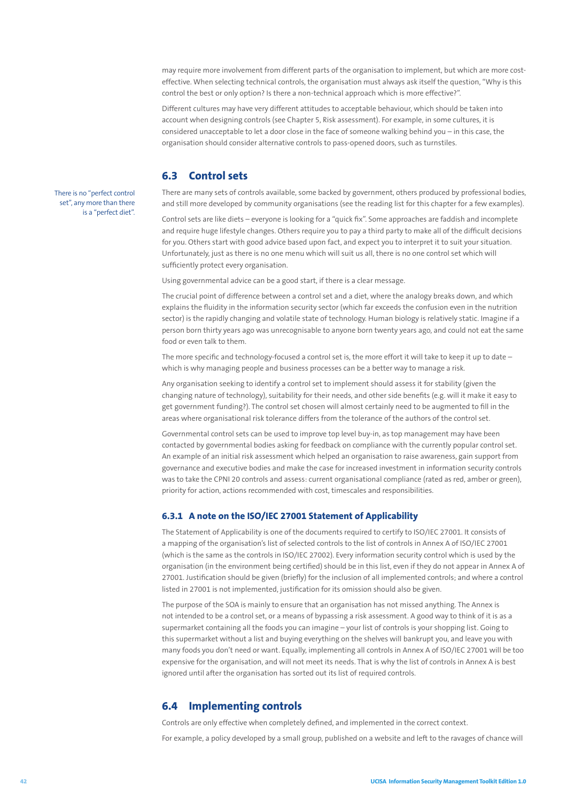may require more involvement from different parts of the organisation to implement, but which are more costeffective. When selecting technical controls, the organisation must always ask itself the question, "Why is this control the best or only option? Is there a non-technical approach which is more effective?".

Different cultures may have very different attitudes to acceptable behaviour, which should be taken into account when designing controls (see Chapter 5, Risk assessment). For example, in some cultures, it is considered unacceptable to let a door close in the face of someone walking behind you – in this case, the organisation should consider alternative controls to pass-opened doors, such as turnstiles.

## **6.3 Control sets**

There are many sets of controls available, some backed by government, others produced by professional bodies, and still more developed by community organisations (see the reading list for this chapter for a few examples).

Control sets are like diets – everyone is looking for a "quick fix". Some approaches are faddish and incomplete and require huge lifestyle changes. Others require you to pay a third party to make all of the difficult decisions for you. Others start with good advice based upon fact, and expect you to interpret it to suit your situation. Unfortunately, just as there is no one menu which will suit us all, there is no one control set which will sufficiently protect every organisation.

Using governmental advice can be a good start, if there is a clear message.

The crucial point of difference between a control set and a diet, where the analogy breaks down, and which explains the fluidity in the information security sector (which far exceeds the confusion even in the nutrition sector) is the rapidly changing and volatile state of technology. Human biology is relatively static. Imagine if a person born thirty years ago was unrecognisable to anyone born twenty years ago, and could not eat the same food or even talk to them.

The more specific and technology-focused a control set is, the more effort it will take to keep it up to date – which is why managing people and business processes can be a better way to manage a risk.

Any organisation seeking to identify a control set to implement should assess it for stability (given the changing nature of technology), suitability for their needs, and other side benefits (e.g. will it make it easy to get government funding?). The control set chosen will almost certainly need to be augmented to fill in the areas where organisational risk tolerance differs from the tolerance of the authors of the control set.

Governmental control sets can be used to improve top level buy-in, as top management may have been contacted by governmental bodies asking for feedback on compliance with the currently popular control set. An example of an initial risk assessment which helped an organisation to raise awareness, gain support from governance and executive bodies and make the case for increased investment in information security controls was to take the CPNI 20 controls and assess: current organisational compliance (rated as red, amber or green), priority for action, actions recommended with cost, timescales and responsibilities.

#### **6.3.1 A note on the ISO/IEC 27001 Statement of Applicability**

The Statement of Applicability is one of the documents required to certify to ISO/IEC 27001. It consists of a mapping of the organisation's list of selected controls to the list of controls in Annex A of ISO/IEC 27001 (which is the same as the controls in ISO/IEC 27002). Every information security control which is used by the organisation (in the environment being certified) should be in this list, even if they do not appear in Annex A of 27001. Justification should be given (briefly) for the inclusion of all implemented controls; and where a control listed in 27001 is not implemented, justification for its omission should also be given.

The purpose of the SOA is mainly to ensure that an organisation has not missed anything. The Annex is not intended to be a control set, or a means of bypassing a risk assessment. A good way to think of it is as a supermarket containing all the foods you can imagine – your list of controls is your shopping list. Going to this supermarket without a list and buying everything on the shelves will bankrupt you, and leave you with many foods you don't need or want. Equally, implementing all controls in Annex A of ISO/IEC 27001 will be too expensive for the organisation, and will not meet its needs. That is why the list of controls in Annex A is best ignored until after the organisation has sorted out its list of required controls.

### **6.4 Implementing controls**

Controls are only effective when completely defined, and implemented in the correct context.

For example, a policy developed by a small group, published on a website and left to the ravages of chance will

There is no "perfect control set", any more than there is a "perfect diet".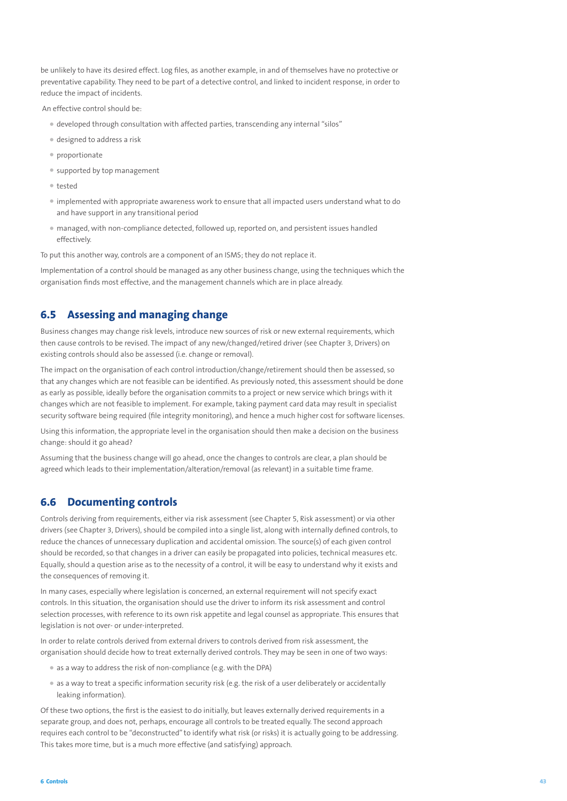be unlikely to have its desired effect. Log files, as another example, in and of themselves have no protective or preventative capability. They need to be part of a detective control, and linked to incident response, in order to reduce the impact of incidents.

An effective control should be:

- developed through consultation with affected parties, transcending any internal "silos"
- designed to address a risk
- proportionate
- supported by top management
- tested
- implemented with appropriate awareness work to ensure that all impacted users understand what to do and have support in any transitional period
- managed, with non-compliance detected, followed up, reported on, and persistent issues handled effectively.

To put this another way, controls are a component of an ISMS; they do not replace it.

Implementation of a control should be managed as any other business change, using the techniques which the organisation finds most effective, and the management channels which are in place already.

### **6.5 Assessing and managing change**

Business changes may change risk levels, introduce new sources of risk or new external requirements, which then cause controls to be revised. The impact of any new/changed/retired driver (see Chapter 3, Drivers) on existing controls should also be assessed (i.e. change or removal).

The impact on the organisation of each control introduction/change/retirement should then be assessed, so that any changes which are not feasible can be identified. As previously noted, this assessment should be done as early as possible, ideally before the organisation commits to a project or new service which brings with it changes which are not feasible to implement. For example, taking payment card data may result in specialist security software being required (file integrity monitoring), and hence a much higher cost for software licenses.

Using this information, the appropriate level in the organisation should then make a decision on the business change: should it go ahead?

Assuming that the business change will go ahead, once the changes to controls are clear, a plan should be agreed which leads to their implementation/alteration/removal (as relevant) in a suitable time frame.

#### **6.6 Documenting controls**

Controls deriving from requirements, either via risk assessment (see Chapter 5, Risk assessment) or via other drivers (see Chapter 3, Drivers), should be compiled into a single list, along with internally defined controls, to reduce the chances of unnecessary duplication and accidental omission. The source(s) of each given control should be recorded, so that changes in a driver can easily be propagated into policies, technical measures etc. Equally, should a question arise as to the necessity of a control, it will be easy to understand why it exists and the consequences of removing it.

In many cases, especially where legislation is concerned, an external requirement will not specify exact controls. In this situation, the organisation should use the driver to inform its risk assessment and control selection processes, with reference to its own risk appetite and legal counsel as appropriate. This ensures that legislation is not over- or under-interpreted.

In order to relate controls derived from external drivers to controls derived from risk assessment, the organisation should decide how to treat externally derived controls. They may be seen in one of two ways:

- as a way to address the risk of non-compliance (e.g. with the DPA)
- as a way to treat a specific information security risk (e.g. the risk of a user deliberately or accidentally leaking information).

Of these two options, the first is the easiest to do initially, but leaves externally derived requirements in a separate group, and does not, perhaps, encourage all controls to be treated equally. The second approach requires each control to be "deconstructed" to identify what risk (or risks) it is actually going to be addressing. This takes more time, but is a much more effective (and satisfying) approach.